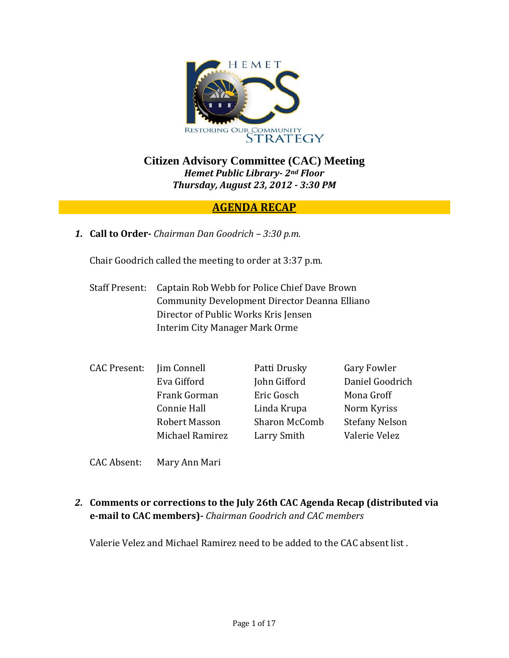

**Citizen Advisory Committee (CAC) Meeting**  *Hemet Public Library 2nd Floor Thursday, August 23, 2012 3:30 PM*

### **AGENDA RECAP**

*1.* **Call to Order** *Chairman Dan Goodrich – 3:30 p.m.*

Chair Goodrich called the meeting to order at 3:37 p.m.

- Staff Present: Captain Rob Webb for Police Chief Dave Brown Community Development Director Deanna Elliano Director of Public Works Kris Jensen Interim City Manager Mark Orme
- CAC Present: Jim Connell Patti Drusky Gary Fowler Eva Gifford John Gifford Daniel Goodrich Frank Gorman Eric Gosch Mona Groff Connie Hall **Linda Krupa** Norm Kyriss Robert Masson Sharon McComb Stefany Nelson Michael Ramirez Larry Smith Valerie Velez
- CAC Absent: Mary Ann Mari
- *2.* **Comments or corrections to the July 26th CAC Agenda Recap (distributed via email to CAC members)** *Chairman Goodrich and CAC members*

Valerie Velez and Michael Ramirez need to be added to the CAC absent list .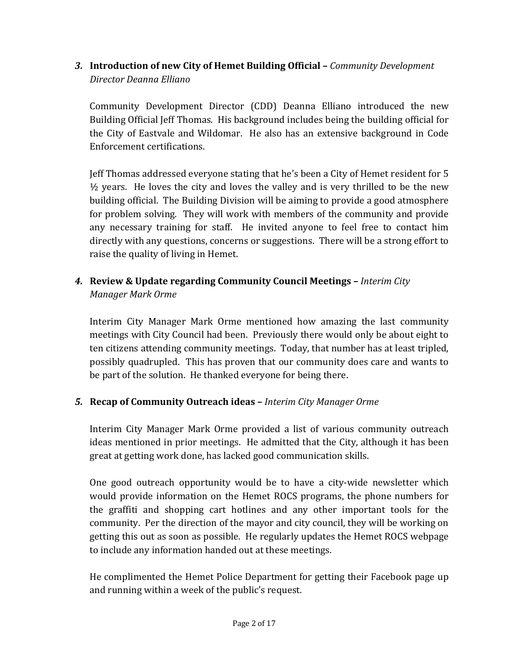*3.* **Introduction of new City of Hemet Building Official –** *Community Development Director Deanna Elliano*

Community Development Director (CDD) Deanna Elliano introduced the new Building Official Jeff Thomas. His background includes being the building official for the City of Eastvale and Wildomar. He also has an extensive background in Code Enforcement certifications.

Jeff Thomas addressed everyone stating that he's been a City of Hemet resident for 5  $\frac{1}{2}$  years. He loves the city and loves the valley and is very thrilled to be the new building official. The Building Division will be aiming to provide a good atmosphere for problem solving. They will work with members of the community and provide any necessary training for staff. He invited anyone to feel free to contact him directly with any questions, concerns or suggestions. There will be a strong effort to raise the quality of living in Hemet.

## *4.* **Review & Update regarding Community Council Meetings –** *Interim City Manager Mark Orme*

Interim City Manager Mark Orme mentioned how amazing the last community meetings with City Council had been. Previously there would only be about eight to ten citizens attending community meetings. Today, that number has at least tripled, possibly quadrupled. This has proven that our community does care and wants to be part of the solution. He thanked everyone for being there.

### *5.* **Recap of Community Outreach ideas –** *Interim City Manager Orme*

Interim City Manager Mark Orme provided a list of various community outreach ideas mentioned in prior meetings. He admitted that the City, although it has been great at getting work done, has lacked good communication skills.

One good outreach opportunity would be to have a city-wide newsletter which would provide information on the Hemet ROCS programs, the phone numbers for the graffiti and shopping cart hotlines and any other important tools for the community. Per the direction of the mayor and city council, they will be working on getting this out as soon as possible. He regularly updates the Hemet ROCS webpage to include any information handed out at these meetings.

He complimented the Hemet Police Department for getting their Facebook page up and running within a week of the public's request.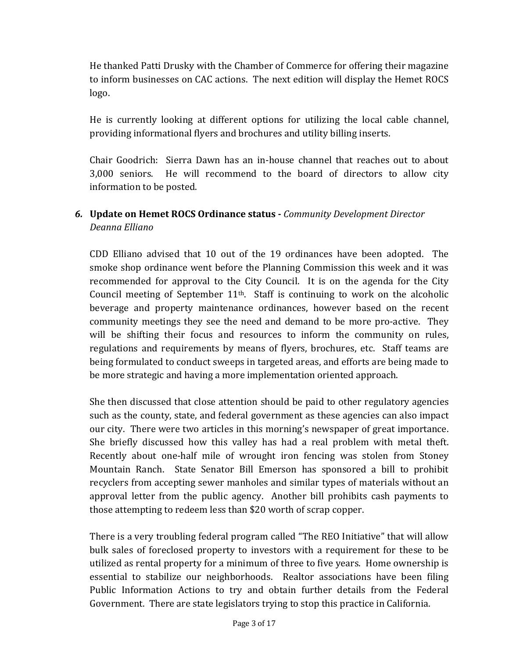He thanked Patti Drusky with the Chamber of Commerce for offering their magazine to inform businesses on CAC actions. The next edition will display the Hemet ROCS logo.

He is currently looking at different options for utilizing the local cable channel, providing informational flyers and brochures and utility billing inserts.

Chair Goodrich: Sierra Dawn has an in‐house channel that reaches out to about 3,000 seniors. He will recommend to the board of directors to allow city information to be posted.

# *6.* **Update on Hemet ROCS Ordinance status** *Community Development Director Deanna Elliano*

CDD Elliano advised that 10 out of the 19 ordinances have been adopted. The smoke shop ordinance went before the Planning Commission this week and it was recommended for approval to the City Council. It is on the agenda for the City Council meeting of September  $11<sup>th</sup>$ . Staff is continuing to work on the alcoholic beverage and property maintenance ordinances, however based on the recent community meetings they see the need and demand to be more pro-active. They will be shifting their focus and resources to inform the community on rules, regulations and requirements by means of flyers, brochures, etc. Staff teams are being formulated to conduct sweeps in targeted areas, and efforts are being made to be more strategic and having a more implementation oriented approach.

She then discussed that close attention should be paid to other regulatory agencies such as the county, state, and federal government as these agencies can also impact our city. There were two articles in this morning's newspaper of great importance. She briefly discussed how this valley has had a real problem with metal theft. Recently about one-half mile of wrought iron fencing was stolen from Stoney Mountain Ranch. State Senator Bill Emerson has sponsored a bill to prohibit recyclers from accepting sewer manholes and similar types of materials without an approval letter from the public agency. Another bill prohibits cash payments to those attempting to redeem less than \$20 worth of scrap copper.

There is a very troubling federal program called "The REO Initiative" that will allow bulk sales of foreclosed property to investors with a requirement for these to be utilized as rental property for a minimum of three to five years. Home ownership is essential to stabilize our neighborhoods. Realtor associations have been filing Public Information Actions to try and obtain further details from the Federal Government. There are state legislators trying to stop this practice in California.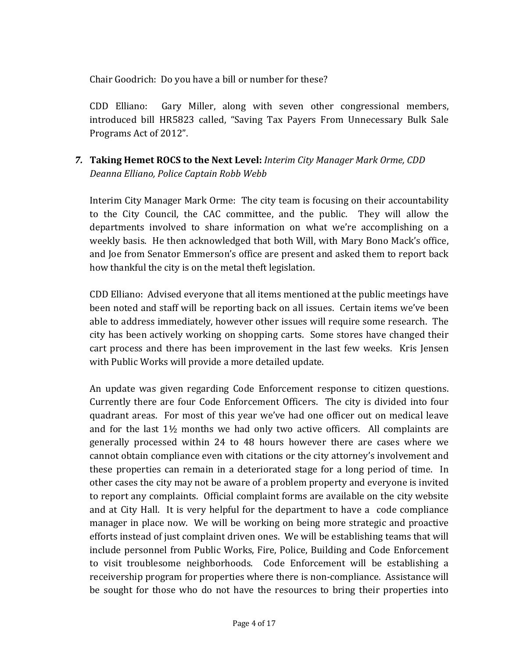Chair Goodrich: Do you have a bill or number for these?

CDD Elliano: Gary Miller, along with seven other congressional members, introduced bill HR5823 called, "Saving Tax Payers From Unnecessary Bulk Sale Programs Act of 2012".

*7.* **Taking Hemet ROCS to the Next Level:** *Interim City Manager Mark Orme, CDD Deanna Elliano, Police Captain Robb Webb*

Interim City Manager Mark Orme: The city team is focusing on their accountability to the City Council, the CAC committee, and the public. They will allow the departments involved to share information on what we're accomplishing on a weekly basis. He then acknowledged that both Will, with Mary Bono Mack's office, and Joe from Senator Emmerson's office are present and asked them to report back how thankful the city is on the metal theft legislation.

CDD Elliano: Advised everyone that all items mentioned at the public meetings have been noted and staff will be reporting back on all issues. Certain items we've been able to address immediately, however other issues will require some research. The city has been actively working on shopping carts. Some stores have changed their cart process and there has been improvement in the last few weeks. Kris Jensen with Public Works will provide a more detailed update.

An update was given regarding Code Enforcement response to citizen questions. Currently there are four Code Enforcement Officers. The city is divided into four quadrant areas. For most of this year we've had one officer out on medical leave and for the last  $1\frac{1}{2}$  months we had only two active officers. All complaints are generally processed within 24 to 48 hours however there are cases where we cannot obtain compliance even with citations or the city attorney's involvement and these properties can remain in a deteriorated stage for a long period of time. In other cases the city may not be aware of a problem property and everyone is invited to report any complaints. Official complaint forms are available on the city website and at City Hall. It is very helpful for the department to have a code compliance manager in place now. We will be working on being more strategic and proactive efforts instead of just complaint driven ones. We will be establishing teams that will include personnel from Public Works, Fire, Police, Building and Code Enforcement to visit troublesome neighborhoods. Code Enforcement will be establishing a receivership program for properties where there is non‐compliance. Assistance will be sought for those who do not have the resources to bring their properties into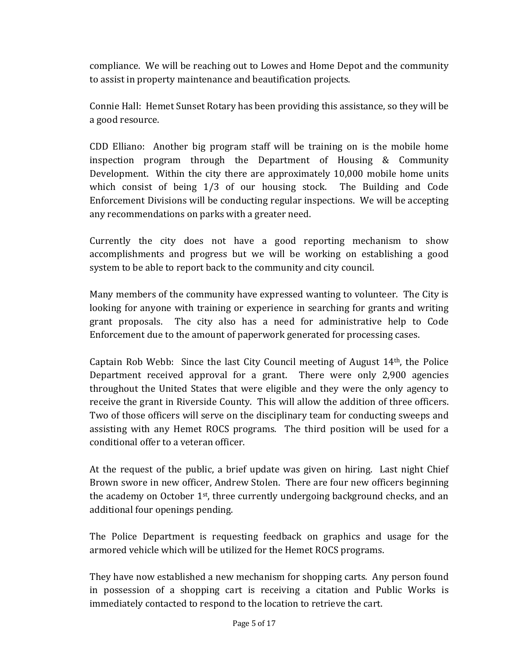compliance. We will be reaching out to Lowes and Home Depot and the community to assist in property maintenance and beautification projects.

Connie Hall: Hemet Sunset Rotary has been providing this assistance, so they will be a good resource.

CDD Elliano: Another big program staff will be training on is the mobile home inspection program through the Department of Housing & Community Development. Within the city there are approximately 10,000 mobile home units which consist of being 1/3 of our housing stock. The Building and Code Enforcement Divisions will be conducting regular inspections. We will be accepting any recommendations on parks with a greater need.

Currently the city does not have a good reporting mechanism to show accomplishments and progress but we will be working on establishing a good system to be able to report back to the community and city council.

Many members of the community have expressed wanting to volunteer. The City is looking for anyone with training or experience in searching for grants and writing grant proposals. The city also has a need for administrative help to Code Enforcement due to the amount of paperwork generated for processing cases.

Captain Rob Webb: Since the last City Council meeting of August 14<sup>th</sup>, the Police Department received approval for a grant. There were only 2,900 agencies throughout the United States that were eligible and they were the only agency to receive the grant in Riverside County. This will allow the addition of three officers. Two of those officers will serve on the disciplinary team for conducting sweeps and assisting with any Hemet ROCS programs. The third position will be used for a conditional offer to a veteran officer.

At the request of the public, a brief update was given on hiring. Last night Chief Brown swore in new officer, Andrew Stolen. There are four new officers beginning the academy on October 1st, three currently undergoing background checks, and an additional four openings pending.

The Police Department is requesting feedback on graphics and usage for the armored vehicle which will be utilized for the Hemet ROCS programs.

They have now established a new mechanism for shopping carts. Any person found in possession of a shopping cart is receiving a citation and Public Works is immediately contacted to respond to the location to retrieve the cart.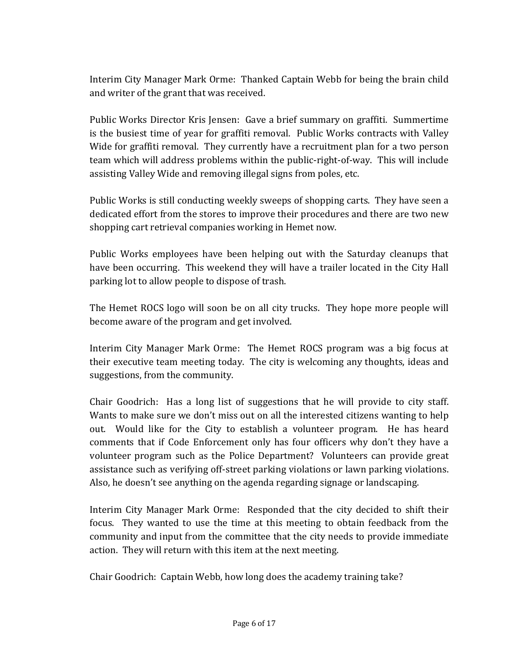Interim City Manager Mark Orme: Thanked Captain Webb for being the brain child and writer of the grant that was received.

Public Works Director Kris Jensen: Gave a brief summary on graffiti. Summertime is the busiest time of year for graffiti removal. Public Works contracts with Valley Wide for graffiti removal. They currently have a recruitment plan for a two person team which will address problems within the public‐right‐of‐way. This will include assisting Valley Wide and removing illegal signs from poles, etc.

Public Works is still conducting weekly sweeps of shopping carts. They have seen a dedicated effort from the stores to improve their procedures and there are two new shopping cart retrieval companies working in Hemet now.

Public Works employees have been helping out with the Saturday cleanups that have been occurring. This weekend they will have a trailer located in the City Hall parking lot to allow people to dispose of trash.

The Hemet ROCS logo will soon be on all city trucks. They hope more people will become aware of the program and get involved.

Interim City Manager Mark Orme: The Hemet ROCS program was a big focus at their executive team meeting today. The city is welcoming any thoughts, ideas and suggestions, from the community.

Chair Goodrich: Has a long list of suggestions that he will provide to city staff. Wants to make sure we don't miss out on all the interested citizens wanting to help out. Would like for the City to establish a volunteer program. He has heard comments that if Code Enforcement only has four officers why don't they have a volunteer program such as the Police Department? Volunteers can provide great assistance such as verifying off‐street parking violations or lawn parking violations. Also, he doesn't see anything on the agenda regarding signage or landscaping.

Interim City Manager Mark Orme: Responded that the city decided to shift their focus. They wanted to use the time at this meeting to obtain feedback from the community and input from the committee that the city needs to provide immediate action. They will return with this item at the next meeting.

Chair Goodrich: Captain Webb, how long does the academy training take?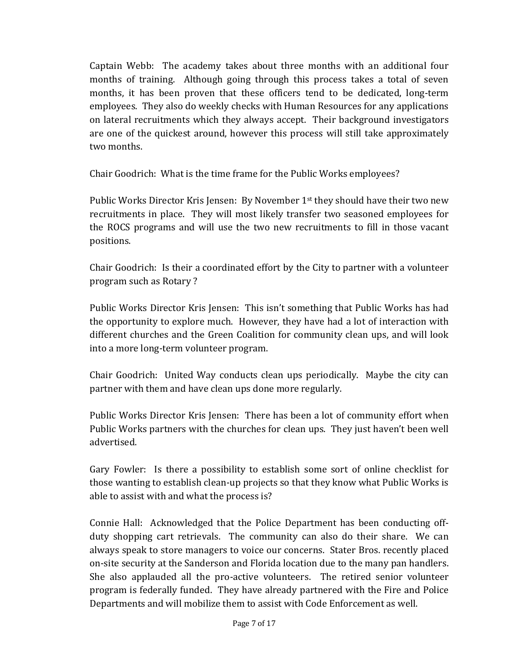Captain Webb: The academy takes about three months with an additional four months of training. Although going through this process takes a total of seven months, it has been proven that these officers tend to be dedicated, long-term employees. They also do weekly checks with Human Resources for any applications on lateral recruitments which they always accept. Their background investigators are one of the quickest around, however this process will still take approximately two months.

Chair Goodrich: What is the time frame for the Public Works employees?

Public Works Director Kris Jensen: By November 1<sup>st</sup> they should have their two new recruitments in place. They will most likely transfer two seasoned employees for the ROCS programs and will use the two new recruitments to fill in those vacant positions.

Chair Goodrich: Is their a coordinated effort by the City to partner with a volunteer program such as Rotary ?

Public Works Director Kris Jensen: This isn't something that Public Works has had the opportunity to explore much. However, they have had a lot of interaction with different churches and the Green Coalition for community clean ups, and will look into a more long‐term volunteer program.

Chair Goodrich: United Way conducts clean ups periodically. Maybe the city can partner with them and have clean ups done more regularly.

Public Works Director Kris Jensen: There has been a lot of community effort when Public Works partners with the churches for clean ups. They just haven't been well advertised.

Gary Fowler: Is there a possibility to establish some sort of online checklist for those wanting to establish clean‐up projects so that they know what Public Works is able to assist with and what the process is?

Connie Hall: Acknowledged that the Police Department has been conducting offduty shopping cart retrievals. The community can also do their share. We can always speak to store managers to voice our concerns. Stater Bros. recently placed on‐site security at the Sanderson and Florida location due to the many pan handlers. She also applauded all the pro-active volunteers. The retired senior volunteer program is federally funded. They have already partnered with the Fire and Police Departments and will mobilize them to assist with Code Enforcement as well.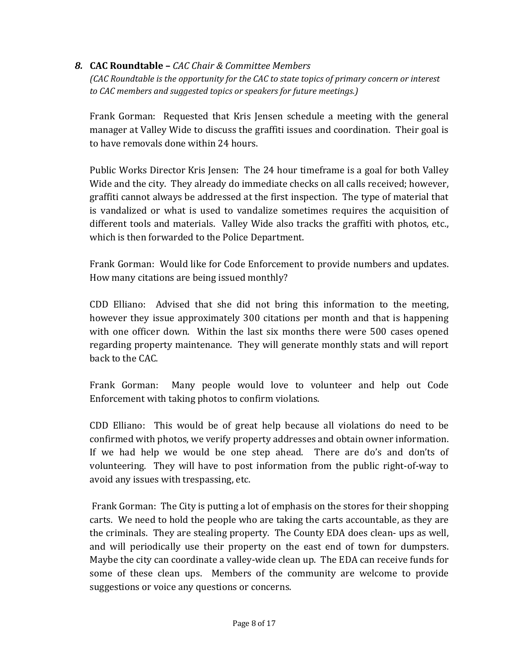#### *8.* **CAC Roundtable –** *CAC Chair & Committee Members*

*(CAC Roundtable is the opportunity for the CAC to state topics of primary concern or interest to CAC members and suggested topics or speakers for future meetings.)*

Frank Gorman: Requested that Kris Jensen schedule a meeting with the general manager at Valley Wide to discuss the graffiti issues and coordination. Their goal is to have removals done within 24 hours.

Public Works Director Kris Jensen: The 24 hour timeframe is a goal for both Valley Wide and the city. They already do immediate checks on all calls received; however, graffiti cannot always be addressed at the first inspection. The type of material that is vandalized or what is used to vandalize sometimes requires the acquisition of different tools and materials. Valley Wide also tracks the graffiti with photos, etc., which is then forwarded to the Police Department.

Frank Gorman: Would like for Code Enforcement to provide numbers and updates. How many citations are being issued monthly?

CDD Elliano: Advised that she did not bring this information to the meeting, however they issue approximately 300 citations per month and that is happening with one officer down. Within the last six months there were 500 cases opened regarding property maintenance. They will generate monthly stats and will report back to the CAC.

Frank Gorman: Many people would love to volunteer and help out Code Enforcement with taking photos to confirm violations.

CDD Elliano: This would be of great help because all violations do need to be confirmed with photos, we verify property addresses and obtain owner information. If we had help we would be one step ahead. There are do's and don'ts of volunteering. They will have to post information from the public right-of-way to avoid any issues with trespassing, etc.

 Frank Gorman: The City is putting a lot of emphasis on the stores for their shopping carts. We need to hold the people who are taking the carts accountable, as they are the criminals. They are stealing property. The County EDA does clean‐ ups as well, and will periodically use their property on the east end of town for dumpsters. Maybe the city can coordinate a valley‐wide clean up. The EDA can receive funds for some of these clean ups. Members of the community are welcome to provide suggestions or voice any questions or concerns.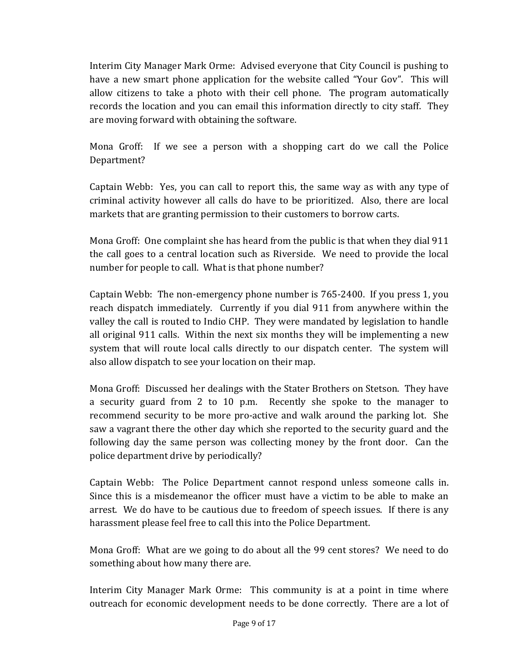Interim City Manager Mark Orme: Advised everyone that City Council is pushing to have a new smart phone application for the website called "Your Gov". This will allow citizens to take a photo with their cell phone. The program automatically records the location and you can email this information directly to city staff. They are moving forward with obtaining the software.

Mona Groff: If we see a person with a shopping cart do we call the Police Department?

Captain Webb: Yes, you can call to report this, the same way as with any type of criminal activity however all calls do have to be prioritized. Also, there are local markets that are granting permission to their customers to borrow carts.

Mona Groff: One complaint she has heard from the public is that when they dial 911 the call goes to a central location such as Riverside. We need to provide the local number for people to call. What is that phone number?

Captain Webb: The non‐emergency phone number is 765‐2400. If you press 1, you reach dispatch immediately. Currently if you dial 911 from anywhere within the valley the call is routed to Indio CHP. They were mandated by legislation to handle all original 911 calls. Within the next six months they will be implementing a new system that will route local calls directly to our dispatch center. The system will also allow dispatch to see your location on their map.

Mona Groff: Discussed her dealings with the Stater Brothers on Stetson. They have a security guard from 2 to 10 p.m. Recently she spoke to the manager to recommend security to be more pro-active and walk around the parking lot. She saw a vagrant there the other day which she reported to the security guard and the following day the same person was collecting money by the front door. Can the police department drive by periodically?

Captain Webb: The Police Department cannot respond unless someone calls in. Since this is a misdemeanor the officer must have a victim to be able to make an arrest. We do have to be cautious due to freedom of speech issues. If there is any harassment please feel free to call this into the Police Department.

Mona Groff: What are we going to do about all the 99 cent stores? We need to do something about how many there are.

Interim City Manager Mark Orme: This community is at a point in time where outreach for economic development needs to be done correctly. There are a lot of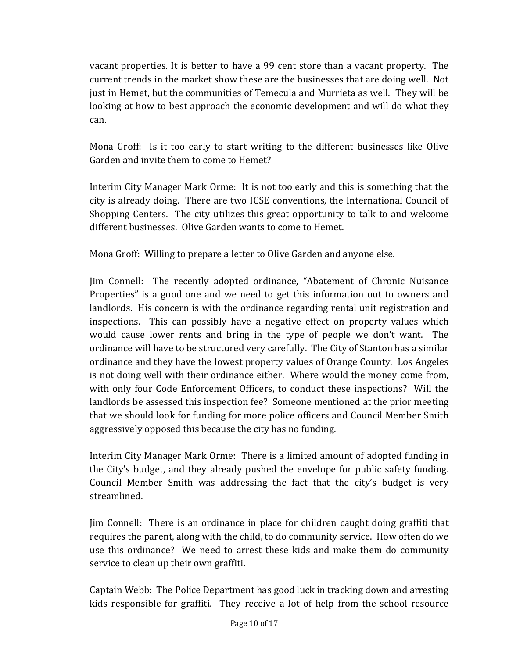vacant properties. It is better to have a 99 cent store than a vacant property. The current trends in the market show these are the businesses that are doing well. Not just in Hemet, but the communities of Temecula and Murrieta as well. They will be looking at how to best approach the economic development and will do what they can.

Mona Groff: Is it too early to start writing to the different businesses like Olive Garden and invite them to come to Hemet?

Interim City Manager Mark Orme: It is not too early and this is something that the city is already doing. There are two ICSE conventions, the International Council of Shopping Centers. The city utilizes this great opportunity to talk to and welcome different businesses. Olive Garden wants to come to Hemet.

Mona Groff: Willing to prepare a letter to Olive Garden and anyone else.

Jim Connell: The recently adopted ordinance, "Abatement of Chronic Nuisance Properties" is a good one and we need to get this information out to owners and landlords. His concern is with the ordinance regarding rental unit registration and inspections. This can possibly have a negative effect on property values which would cause lower rents and bring in the type of people we don't want. The ordinance will have to be structured very carefully. The City of Stanton has a similar ordinance and they have the lowest property values of Orange County. Los Angeles is not doing well with their ordinance either. Where would the money come from, with only four Code Enforcement Officers, to conduct these inspections? Will the landlords be assessed this inspection fee? Someone mentioned at the prior meeting that we should look for funding for more police officers and Council Member Smith aggressively opposed this because the city has no funding.

Interim City Manager Mark Orme: There is a limited amount of adopted funding in the City's budget, and they already pushed the envelope for public safety funding. Council Member Smith was addressing the fact that the city's budget is very streamlined.

Jim Connell: There is an ordinance in place for children caught doing graffiti that requires the parent, along with the child, to do community service. How often do we use this ordinance? We need to arrest these kids and make them do community service to clean up their own graffiti.

Captain Webb: The Police Department has good luck in tracking down and arresting kids responsible for graffiti. They receive a lot of help from the school resource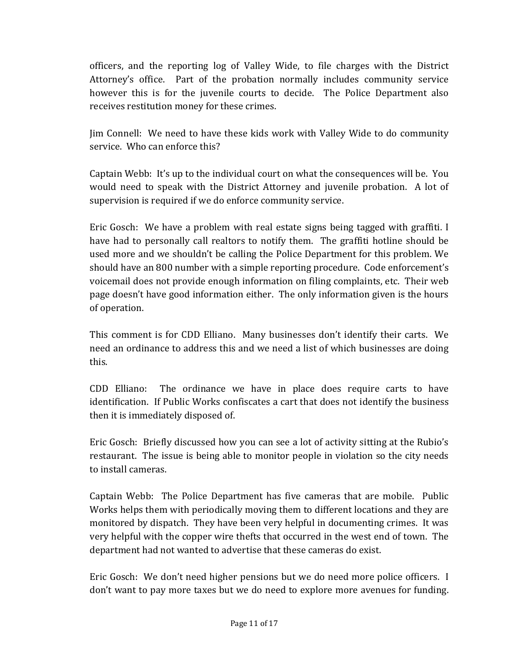officers, and the reporting log of Valley Wide, to file charges with the District Attorney's office. Part of the probation normally includes community service however this is for the juvenile courts to decide. The Police Department also receives restitution money for these crimes.

Jim Connell: We need to have these kids work with Valley Wide to do community service. Who can enforce this?

Captain Webb: It's up to the individual court on what the consequences will be. You would need to speak with the District Attorney and juvenile probation. A lot of supervision is required if we do enforce community service.

Eric Gosch: We have a problem with real estate signs being tagged with graffiti. I have had to personally call realtors to notify them. The graffiti hotline should be used more and we shouldn't be calling the Police Department for this problem. We should have an 800 number with a simple reporting procedure. Code enforcement's voicemail does not provide enough information on filing complaints, etc. Their web page doesn't have good information either. The only information given is the hours of operation.

This comment is for CDD Elliano. Many businesses don't identify their carts. We need an ordinance to address this and we need a list of which businesses are doing this.

CDD Elliano: The ordinance we have in place does require carts to have identification. If Public Works confiscates a cart that does not identify the business then it is immediately disposed of.

Eric Gosch: Briefly discussed how you can see a lot of activity sitting at the Rubio's restaurant. The issue is being able to monitor people in violation so the city needs to install cameras.

Captain Webb: The Police Department has five cameras that are mobile. Public Works helps them with periodically moving them to different locations and they are monitored by dispatch. They have been very helpful in documenting crimes. It was very helpful with the copper wire thefts that occurred in the west end of town. The department had not wanted to advertise that these cameras do exist.

Eric Gosch: We don't need higher pensions but we do need more police officers. I don't want to pay more taxes but we do need to explore more avenues for funding.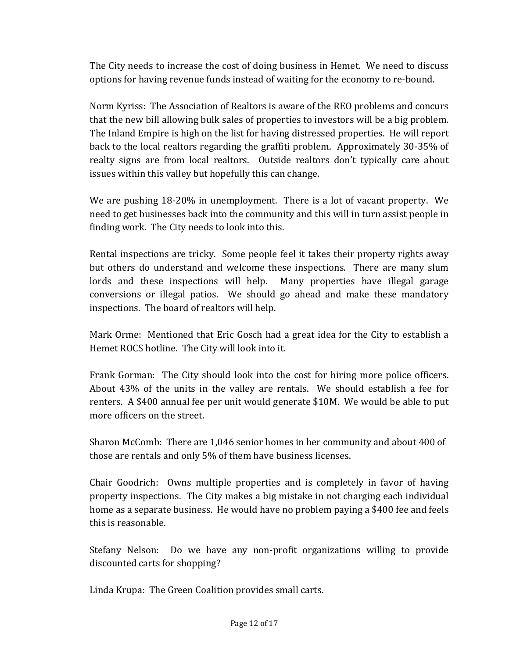The City needs to increase the cost of doing business in Hemet. We need to discuss options for having revenue funds instead of waiting for the economy to re‐bound.

Norm Kyriss: The Association of Realtors is aware of the REO problems and concurs that the new bill allowing bulk sales of properties to investors will be a big problem. The Inland Empire is high on the list for having distressed properties. He will report back to the local realtors regarding the graffiti problem. Approximately 30‐35% of realty signs are from local realtors. Outside realtors don't typically care about issues within this valley but hopefully this can change.

We are pushing 18-20% in unemployment. There is a lot of vacant property. We need to get businesses back into the community and this will in turn assist people in finding work. The City needs to look into this.

Rental inspections are tricky. Some people feel it takes their property rights away but others do understand and welcome these inspections. There are many slum lords and these inspections will help. Many properties have illegal garage conversions or illegal patios. We should go ahead and make these mandatory inspections. The board of realtors will help.

Mark Orme: Mentioned that Eric Gosch had a great idea for the City to establish a Hemet ROCS hotline. The City will look into it.

Frank Gorman: The City should look into the cost for hiring more police officers. About 43% of the units in the valley are rentals. We should establish a fee for renters. A \$400 annual fee per unit would generate \$10M. We would be able to put more officers on the street.

Sharon McComb: There are 1,046 senior homes in her community and about 400 of those are rentals and only 5% of them have business licenses.

Chair Goodrich: Owns multiple properties and is completely in favor of having property inspections. The City makes a big mistake in not charging each individual home as a separate business. He would have no problem paying a \$400 fee and feels this is reasonable.

Stefany Nelson: Do we have any non-profit organizations willing to provide discounted carts for shopping?

Linda Krupa: The Green Coalition provides small carts.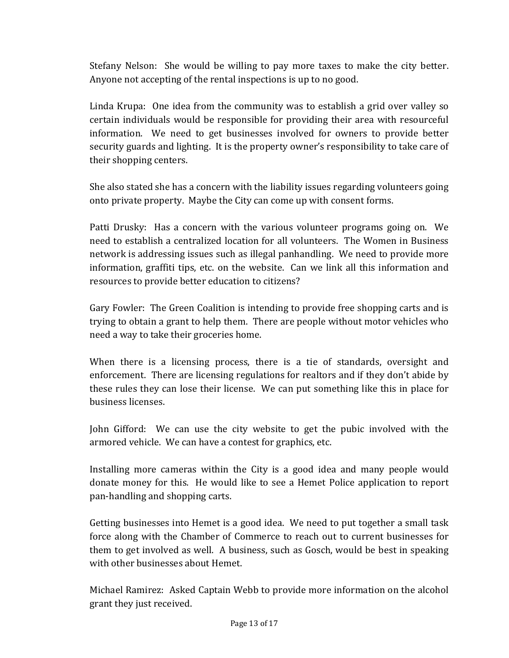Stefany Nelson: She would be willing to pay more taxes to make the city better. Anyone not accepting of the rental inspections is up to no good.

Linda Krupa: One idea from the community was to establish a grid over valley so certain individuals would be responsible for providing their area with resourceful information. We need to get businesses involved for owners to provide better security guards and lighting. It is the property owner's responsibility to take care of their shopping centers.

She also stated she has a concern with the liability issues regarding volunteers going onto private property. Maybe the City can come up with consent forms.

Patti Drusky: Has a concern with the various volunteer programs going on. We need to establish a centralized location for all volunteers. The Women in Business network is addressing issues such as illegal panhandling. We need to provide more information, graffiti tips, etc. on the website. Can we link all this information and resources to provide better education to citizens?

Gary Fowler: The Green Coalition is intending to provide free shopping carts and is trying to obtain a grant to help them. There are people without motor vehicles who need a way to take their groceries home.

When there is a licensing process, there is a tie of standards, oversight and enforcement. There are licensing regulations for realtors and if they don't abide by these rules they can lose their license. We can put something like this in place for business licenses.

John Gifford: We can use the city website to get the pubic involved with the armored vehicle. We can have a contest for graphics, etc.

Installing more cameras within the City is a good idea and many people would donate money for this. He would like to see a Hemet Police application to report pan‐handling and shopping carts.

Getting businesses into Hemet is a good idea. We need to put together a small task force along with the Chamber of Commerce to reach out to current businesses for them to get involved as well. A business, such as Gosch, would be best in speaking with other businesses about Hemet.

Michael Ramirez: Asked Captain Webb to provide more information on the alcohol grant they just received.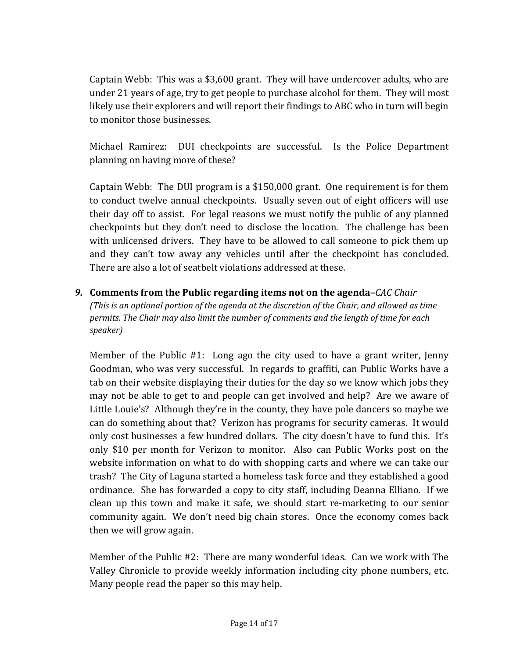Captain Webb: This was a \$3,600 grant. They will have undercover adults, who are under 21 years of age, try to get people to purchase alcohol for them. They will most likely use their explorers and will report their findings to ABC who in turn will begin to monitor those businesses.

Michael Ramirez: DUI checkpoints are successful. Is the Police Department planning on having more of these?

Captain Webb: The DUI program is a \$150,000 grant. One requirement is for them to conduct twelve annual checkpoints. Usually seven out of eight officers will use their day off to assist. For legal reasons we must notify the public of any planned checkpoints but they don't need to disclose the location. The challenge has been with unlicensed drivers. They have to be allowed to call someone to pick them up and they can't tow away any vehicles until after the checkpoint has concluded. There are also a lot of seatbelt violations addressed at these.

*9.* **Comments from the Public regarding items not on the agenda–***CAC Chair (This is an optional portion of the agenda at the discretion of the Chair, and allowed as time permits. The Chair may also limit the number of comments and the length of time for each speaker)*

Member of the Public #1: Long ago the city used to have a grant writer, Jenny Goodman, who was very successful. In regards to graffiti, can Public Works have a tab on their website displaying their duties for the day so we know which jobs they may not be able to get to and people can get involved and help? Are we aware of Little Louie's? Although they're in the county, they have pole dancers so maybe we can do something about that? Verizon has programs for security cameras. It would only cost businesses a few hundred dollars. The city doesn't have to fund this. It's only \$10 per month for Verizon to monitor. Also can Public Works post on the website information on what to do with shopping carts and where we can take our trash? The City of Laguna started a homeless task force and they established a good ordinance. She has forwarded a copy to city staff, including Deanna Elliano. If we clean up this town and make it safe, we should start re-marketing to our senior community again. We don't need big chain stores. Once the economy comes back then we will grow again.

Member of the Public #2: There are many wonderful ideas. Can we work with The Valley Chronicle to provide weekly information including city phone numbers, etc. Many people read the paper so this may help.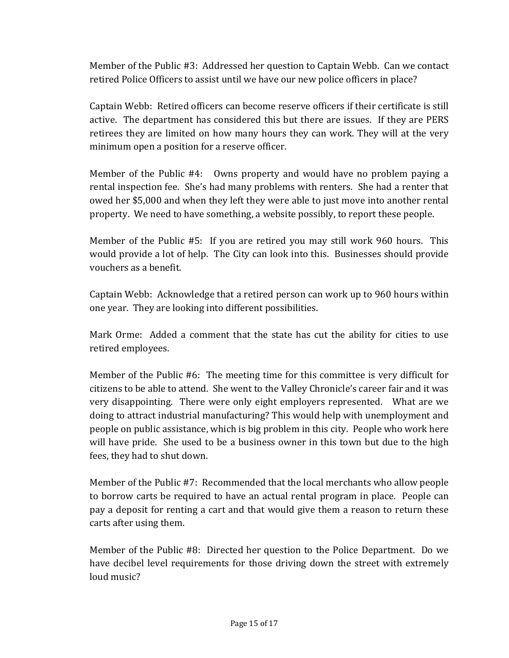Member of the Public #3: Addressed her question to Captain Webb. Can we contact retired Police Officers to assist until we have our new police officers in place?

Captain Webb: Retired officers can become reserve officers if their certificate is still active. The department has considered this but there are issues. If they are PERS retirees they are limited on how many hours they can work. They will at the very minimum open a position for a reserve officer.

Member of the Public #4: Owns property and would have no problem paying a rental inspection fee. She's had many problems with renters. She had a renter that owed her \$5,000 and when they left they were able to just move into another rental property. We need to have something, a website possibly, to report these people.

Member of the Public #5: If you are retired you may still work 960 hours. This would provide a lot of help. The City can look into this. Businesses should provide vouchers as a benefit.

Captain Webb: Acknowledge that a retired person can work up to 960 hours within one year. They are looking into different possibilities.

Mark Orme: Added a comment that the state has cut the ability for cities to use retired employees.

Member of the Public #6: The meeting time for this committee is very difficult for citizens to be able to attend. She went to the Valley Chronicle's career fair and it was very disappointing. There were only eight employers represented. What are we doing to attract industrial manufacturing? This would help with unemployment and people on public assistance, which is big problem in this city. People who work here will have pride. She used to be a business owner in this town but due to the high fees, they had to shut down.

Member of the Public #7: Recommended that the local merchants who allow people to borrow carts be required to have an actual rental program in place. People can pay a deposit for renting a cart and that would give them a reason to return these carts after using them.

Member of the Public #8: Directed her question to the Police Department. Do we have decibel level requirements for those driving down the street with extremely loud music?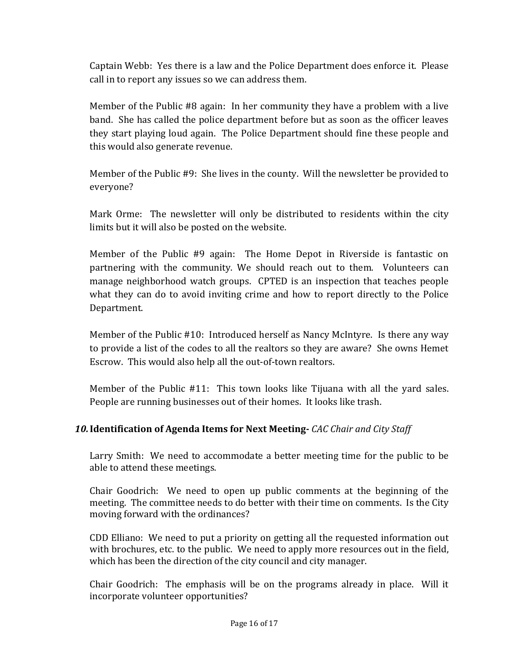Captain Webb: Yes there is a law and the Police Department does enforce it. Please call in to report any issues so we can address them.

Member of the Public #8 again: In her community they have a problem with a live band. She has called the police department before but as soon as the officer leaves they start playing loud again. The Police Department should fine these people and this would also generate revenue.

Member of the Public #9: She lives in the county. Will the newsletter be provided to everyone?

Mark Orme: The newsletter will only be distributed to residents within the city limits but it will also be posted on the website.

Member of the Public #9 again: The Home Depot in Riverside is fantastic on partnering with the community. We should reach out to them. Volunteers can manage neighborhood watch groups. CPTED is an inspection that teaches people what they can do to avoid inviting crime and how to report directly to the Police Department.

Member of the Public #10: Introduced herself as Nancy McIntyre. Is there any way to provide a list of the codes to all the realtors so they are aware? She owns Hemet Escrow. This would also help all the out‐of‐town realtors.

Member of the Public #11: This town looks like Tijuana with all the yard sales. People are running businesses out of their homes. It looks like trash.

### *10.***Identification of Agenda Items for Next Meeting** *CAC Chair and City Staff*

Larry Smith: We need to accommodate a better meeting time for the public to be able to attend these meetings.

Chair Goodrich: We need to open up public comments at the beginning of the meeting. The committee needs to do better with their time on comments. Is the City moving forward with the ordinances?

CDD Elliano: We need to put a priority on getting all the requested information out with brochures, etc. to the public. We need to apply more resources out in the field, which has been the direction of the city council and city manager.

Chair Goodrich: The emphasis will be on the programs already in place. Will it incorporate volunteer opportunities?